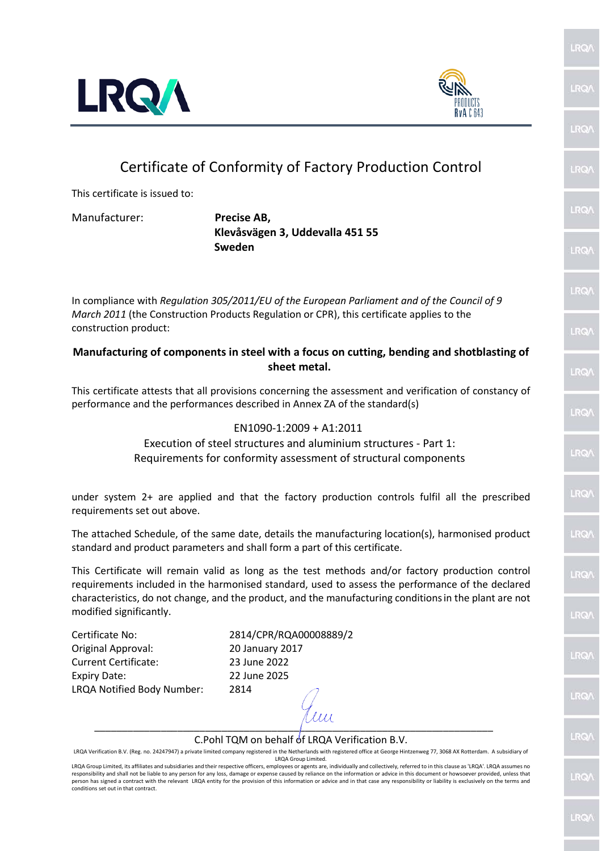



# Certificate of Conformity of Factory Production Control

This certificate is issued to:

Manufacturer: **Precise AB,**

LRQ

 **Klevåsvägen 3, Uddevalla 451 55 Sweden** 

In compliance with *Regulation 305/2011/EU of the European Parliament and of the Council of 9 March 2011* (the Construction Products Regulation or CPR), this certificate applies to the construction product:

### **Manufacturing of components in steel with a focus on cutting, bending and shotblasting of sheet metal.**

This certificate attests that all provisions concerning the assessment and verification of constancy of performance and the performances described in Annex ZA of the standard(s)

### EN1090-1:2009 + A1:2011

Execution of steel structures and aluminium structures - Part 1: Requirements for conformity assessment of structural components

under system 2+ are applied and that the factory production controls fulfil all the prescribed requirements set out above.

The attached Schedule, of the same date, details the manufacturing location(s), harmonised product standard and product parameters and shall form a part of this certificate.

This Certificate will remain valid as long as the test methods and/or factory production control requirements included in the harmonised standard, used to assess the performance of the declared characteristics, do not change, and the product, and the manufacturing conditionsin the plant are not modified significantly.

Certificate No: 2814/CPR/RQA00008889/2 Original Approval: 20 January 2017 Current Certificate: 23 June 2022 Expiry Date: 22 June 2025 LRQA Notified Body Number: 2814

#### C.Pohl TQM on behalf of LRQA Verification B.V.

LRQA Verification B.V. (Reg. no. 24247947) a private limited company registered in the Netherlands with registered office at George Hintzenweg 77, 3068 AX Rotterdam. A subsidiary of LRQA Group Limited.

\_\_\_\_\_\_\_\_\_\_\_\_\_\_\_\_\_\_\_\_\_\_\_\_\_\_\_\_\_\_\_\_\_\_\_\_\_\_\_\_\_\_\_\_\_\_\_\_\_\_\_\_\_\_\_\_\_\_\_\_\_\_\_\_\_\_\_\_\_\_\_\_

IF<sub>ic</sub> **RQ RQ** LRQ/ **IRQ LRO/** 

LRQ/

 $R<sub>0</sub>$ 

LRO/

**DO** 

 $F/2$ 

**IRQ** 

**RQ** 

LRQ/

 $R(2)$ 

LRO/

RQ

LRQA Group Limited, its affiliates and subsidiaries and their respective officers, employees or agents are, individually and collectively, referred to in this clause as 'LRQA'. LRQA assumes no responsibility and shall not be liable to any person for any loss, damage or expense caused by reliance on the information or advice in this document or howsoever provided, unless that person has signed a contract with the relevant LRQA entity for the provision of this information or advice and in that case any responsibility or liability is exclusively on the terms and conditions set out in that contract.